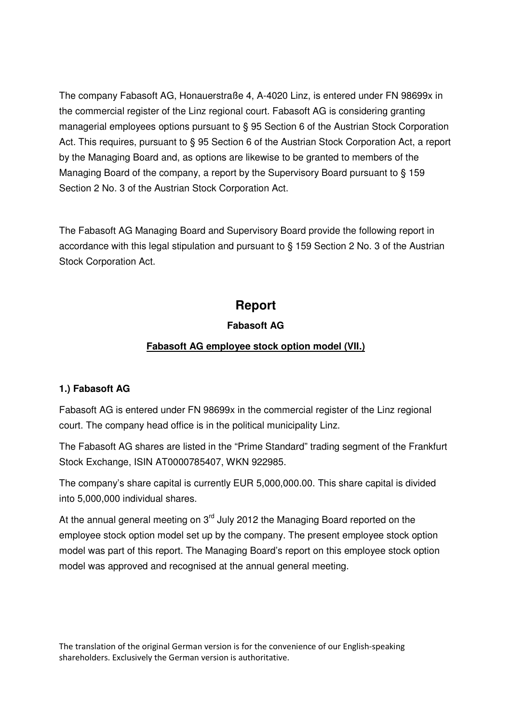The company Fabasoft AG, Honauerstraße 4, A-4020 Linz, is entered under FN 98699x in the commercial register of the Linz regional court. Fabasoft AG is considering granting managerial employees options pursuant to § 95 Section 6 of the Austrian Stock Corporation Act. This requires, pursuant to § 95 Section 6 of the Austrian Stock Corporation Act, a report by the Managing Board and, as options are likewise to be granted to members of the Managing Board of the company, a report by the Supervisory Board pursuant to § 159 Section 2 No. 3 of the Austrian Stock Corporation Act.

The Fabasoft AG Managing Board and Supervisory Board provide the following report in accordance with this legal stipulation and pursuant to § 159 Section 2 No. 3 of the Austrian Stock Corporation Act.

# **Report**

# **Fabasoft AG**

# **Fabasoft AG employee stock option model (VII.)**

## **1.) Fabasoft AG**

Fabasoft AG is entered under FN 98699x in the commercial register of the Linz regional court. The company head office is in the political municipality Linz.

The Fabasoft AG shares are listed in the "Prime Standard" trading segment of the Frankfurt Stock Exchange, ISIN AT0000785407, WKN 922985.

The company's share capital is currently EUR 5,000,000.00. This share capital is divided into 5,000,000 individual shares.

At the annual general meeting on  $3<sup>rd</sup>$  July 2012 the Managing Board reported on the employee stock option model set up by the company. The present employee stock option model was part of this report. The Managing Board's report on this employee stock option model was approved and recognised at the annual general meeting.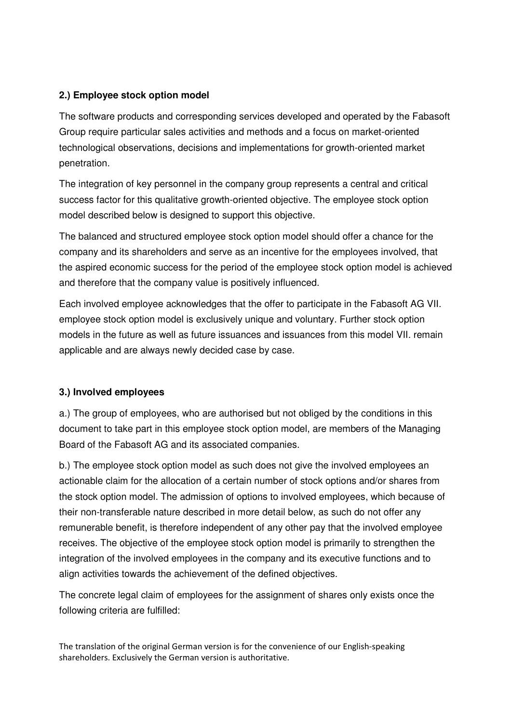## **2.) Employee stock option model**

The software products and corresponding services developed and operated by the Fabasoft Group require particular sales activities and methods and a focus on market-oriented technological observations, decisions and implementations for growth-oriented market penetration.

The integration of key personnel in the company group represents a central and critical success factor for this qualitative growth-oriented objective. The employee stock option model described below is designed to support this objective.

The balanced and structured employee stock option model should offer a chance for the company and its shareholders and serve as an incentive for the employees involved, that the aspired economic success for the period of the employee stock option model is achieved and therefore that the company value is positively influenced.

Each involved employee acknowledges that the offer to participate in the Fabasoft AG VII. employee stock option model is exclusively unique and voluntary. Further stock option models in the future as well as future issuances and issuances from this model VII. remain applicable and are always newly decided case by case.

#### **3.) Involved employees**

a.) The group of employees, who are authorised but not obliged by the conditions in this document to take part in this employee stock option model, are members of the Managing Board of the Fabasoft AG and its associated companies.

b.) The employee stock option model as such does not give the involved employees an actionable claim for the allocation of a certain number of stock options and/or shares from the stock option model. The admission of options to involved employees, which because of their non-transferable nature described in more detail below, as such do not offer any remunerable benefit, is therefore independent of any other pay that the involved employee receives. The objective of the employee stock option model is primarily to strengthen the integration of the involved employees in the company and its executive functions and to align activities towards the achievement of the defined objectives.

The concrete legal claim of employees for the assignment of shares only exists once the following criteria are fulfilled: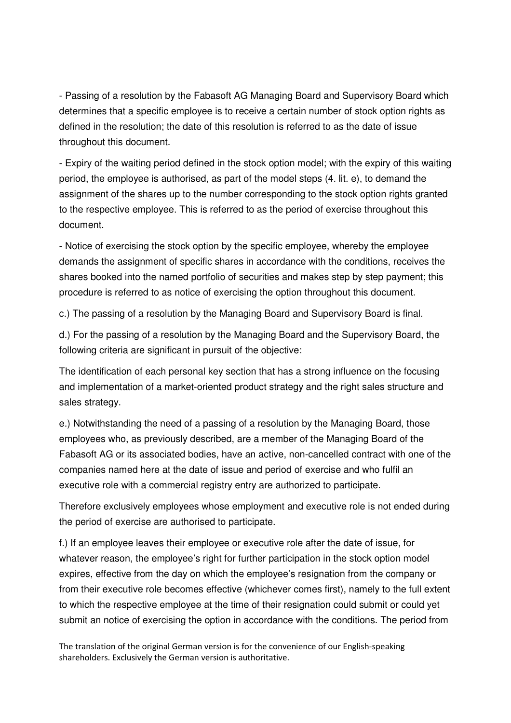- Passing of a resolution by the Fabasoft AG Managing Board and Supervisory Board which determines that a specific employee is to receive a certain number of stock option rights as defined in the resolution; the date of this resolution is referred to as the date of issue throughout this document.

- Expiry of the waiting period defined in the stock option model; with the expiry of this waiting period, the employee is authorised, as part of the model steps (4. lit. e), to demand the assignment of the shares up to the number corresponding to the stock option rights granted to the respective employee. This is referred to as the period of exercise throughout this document.

- Notice of exercising the stock option by the specific employee, whereby the employee demands the assignment of specific shares in accordance with the conditions, receives the shares booked into the named portfolio of securities and makes step by step payment; this procedure is referred to as notice of exercising the option throughout this document.

c.) The passing of a resolution by the Managing Board and Supervisory Board is final.

d.) For the passing of a resolution by the Managing Board and the Supervisory Board, the following criteria are significant in pursuit of the objective:

The identification of each personal key section that has a strong influence on the focusing and implementation of a market-oriented product strategy and the right sales structure and sales strategy.

e.) Notwithstanding the need of a passing of a resolution by the Managing Board, those employees who, as previously described, are a member of the Managing Board of the Fabasoft AG or its associated bodies, have an active, non-cancelled contract with one of the companies named here at the date of issue and period of exercise and who fulfil an executive role with a commercial registry entry are authorized to participate.

Therefore exclusively employees whose employment and executive role is not ended during the period of exercise are authorised to participate.

f.) If an employee leaves their employee or executive role after the date of issue, for whatever reason, the employee's right for further participation in the stock option model expires, effective from the day on which the employee's resignation from the company or from their executive role becomes effective (whichever comes first), namely to the full extent to which the respective employee at the time of their resignation could submit or could yet submit an notice of exercising the option in accordance with the conditions. The period from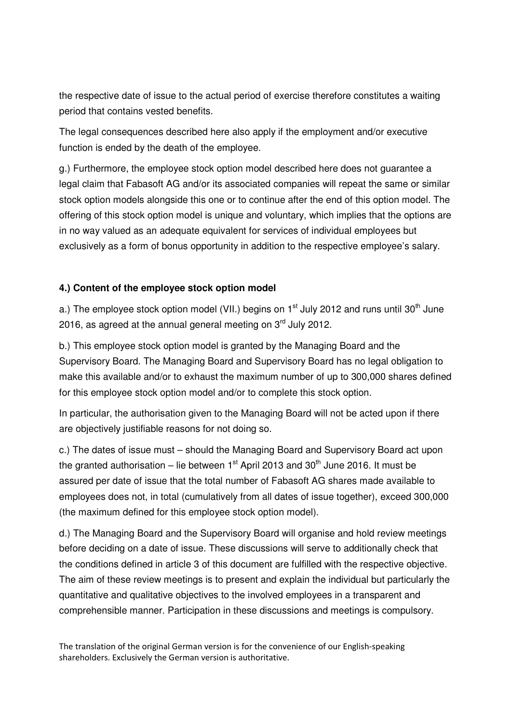the respective date of issue to the actual period of exercise therefore constitutes a waiting period that contains vested benefits.

The legal consequences described here also apply if the employment and/or executive function is ended by the death of the employee.

g.) Furthermore, the employee stock option model described here does not guarantee a legal claim that Fabasoft AG and/or its associated companies will repeat the same or similar stock option models alongside this one or to continue after the end of this option model. The offering of this stock option model is unique and voluntary, which implies that the options are in no way valued as an adequate equivalent for services of individual employees but exclusively as a form of bonus opportunity in addition to the respective employee's salary.

## **4.) Content of the employee stock option model**

a.) The employee stock option model (VII.) begins on  $1<sup>st</sup>$  July 2012 and runs until 30<sup>th</sup> June 2016, as agreed at the annual general meeting on  $3<sup>rd</sup>$  July 2012.

b.) This employee stock option model is granted by the Managing Board and the Supervisory Board. The Managing Board and Supervisory Board has no legal obligation to make this available and/or to exhaust the maximum number of up to 300,000 shares defined for this employee stock option model and/or to complete this stock option.

In particular, the authorisation given to the Managing Board will not be acted upon if there are objectively justifiable reasons for not doing so.

c.) The dates of issue must – should the Managing Board and Supervisory Board act upon the granted authorisation – lie between  $1<sup>st</sup>$  April 2013 and 30<sup>th</sup> June 2016. It must be assured per date of issue that the total number of Fabasoft AG shares made available to employees does not, in total (cumulatively from all dates of issue together), exceed 300,000 (the maximum defined for this employee stock option model).

d.) The Managing Board and the Supervisory Board will organise and hold review meetings before deciding on a date of issue. These discussions will serve to additionally check that the conditions defined in article 3 of this document are fulfilled with the respective objective. The aim of these review meetings is to present and explain the individual but particularly the quantitative and qualitative objectives to the involved employees in a transparent and comprehensible manner. Participation in these discussions and meetings is compulsory.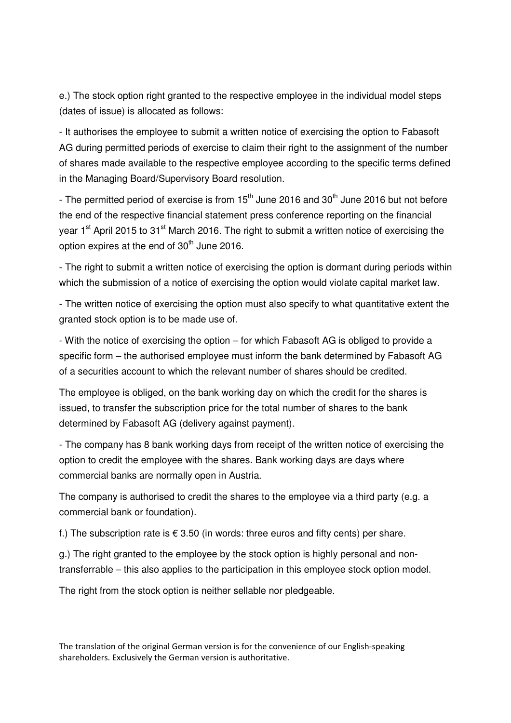e.) The stock option right granted to the respective employee in the individual model steps (dates of issue) is allocated as follows:

- It authorises the employee to submit a written notice of exercising the option to Fabasoft AG during permitted periods of exercise to claim their right to the assignment of the number of shares made available to the respective employee according to the specific terms defined in the Managing Board/Supervisory Board resolution.

- The permitted period of exercise is from  $15<sup>th</sup>$  June 2016 and 30<sup>th</sup> June 2016 but not before the end of the respective financial statement press conference reporting on the financial year 1<sup>st</sup> April 2015 to 31<sup>st</sup> March 2016. The right to submit a written notice of exercising the option expires at the end of  $30<sup>th</sup>$  June 2016.

- The right to submit a written notice of exercising the option is dormant during periods within which the submission of a notice of exercising the option would violate capital market law.

- The written notice of exercising the option must also specify to what quantitative extent the granted stock option is to be made use of.

- With the notice of exercising the option – for which Fabasoft AG is obliged to provide a specific form – the authorised employee must inform the bank determined by Fabasoft AG of a securities account to which the relevant number of shares should be credited.

The employee is obliged, on the bank working day on which the credit for the shares is issued, to transfer the subscription price for the total number of shares to the bank determined by Fabasoft AG (delivery against payment).

- The company has 8 bank working days from receipt of the written notice of exercising the option to credit the employee with the shares. Bank working days are days where commercial banks are normally open in Austria.

The company is authorised to credit the shares to the employee via a third party (e.g. a commercial bank or foundation).

f.) The subscription rate is  $\epsilon$  3.50 (in words: three euros and fifty cents) per share.

g.) The right granted to the employee by the stock option is highly personal and nontransferrable – this also applies to the participation in this employee stock option model.

The right from the stock option is neither sellable nor pledgeable.